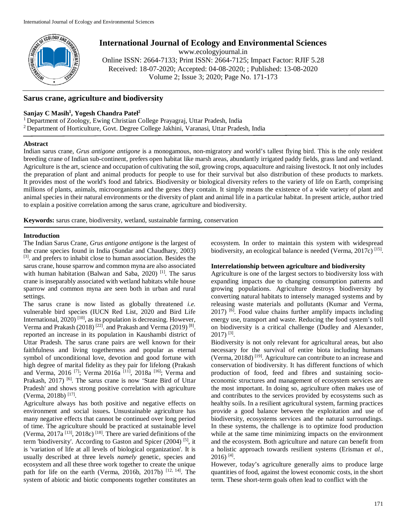

# **International Journal of Ecology and Environmental Sciences**

www.ecologyjournal.in

Online ISSN: 2664-7133; Print ISSN: 2664-7125; Impact Factor: RJIF 5.28 Received: 18-07-2020; Accepted: 04-08-2020; ; Published: 13-08-2020 Volume 2; Issue 3; 2020; Page No. 171-173

## **Sarus crane, agriculture and biodiversity**

## **Sanjay C Masih1 , Yogesh Chandra Patel2**

1 Department of Zoology, Ewing Christian College Prayagraj, Uttar Pradesh, India 2 Department of Horticulture, Govt. Degree College Jakhini, Varanasi, Uttar Pradesh, India

#### **Abstract**

Indian sarus crane, *Grus antigone antigone* is a monogamous, non-migratory and world's tallest flying bird. This is the only resident breeding crane of Indian sub-continent, prefers open habitat like marsh areas, abundantly irrigated paddy fields, grass land and wetland. Agriculture is the art, science and occupation of cultivating the soil, growing crops, aquaculture and raising livestock. It not only includes the preparation of plant and animal products for people to use for their survival but also distribution of these products to markets. It provides most of the world's food and fabrics. Biodiversity or biological diversity refers to the variety of life on Earth, comprising millions of plants, animals, microorganisms and the genes they contain. It simply means the existence of a wide variety of plant and animal species in their natural environments or the diversity of plant and animal life in a particular habitat. In present article, author tried to explain a positive correlation among the sarus crane, agriculture and biodiversity.

**Keywords:** sarus crane, biodiversity, wetland, sustainable farming, conservation

#### **Introduction**

The Indian Sarus Crane, *Grus antigone antigone* is the largest of the crane species found in India (Sundar and Chaudhary, 2003) [3]. and prefers to inhabit close to human association. Besides the sarus crane, house sparrow and common myna are also associated with human habitation (Balwan and Saba, 2020)<sup>[1]</sup>. The sarus crane is inseparably associated with wetland habitats while house sparrow and common myna are seen both in urban and rural settings.

The sarus crane is now listed as globally threatened *i.e.* vulnerable bird species (IUCN Red List, 2020 and Bird Life International, 2020)<sup>[10]</sup>, as its population is decreasing. However, Verma and Prakash (2018)<sup>[22]</sup>. and Prakash and Verma (2019)<sup>[8]</sup>. reported an increase in its population in Kaushambi district of Uttar Pradesh. The sarus crane pairs are well known for their faithfulness and living togetherness and popular as eternal symbol of unconditional love, devotion and good fortune with high degree of marital fidelity as they pair for lifelong (Prakash and Verma, 2016<sup>[7]</sup>; Verma 2016a<sup>[11]</sup>, 2018a<sup>[16]</sup>; Verma and Prakash, 2017)<sup>[6]</sup>. The sarus crane is now 'State Bird of Uttar Pradesh' and shows strong positive correlation with agriculture (Verma, 2018b)<sup>[17]</sup>.

Agriculture always has both positive and negative effects on environment and social issues**.** Unsustainable agriculture has many negative effects that cannot be continued over long period of time. The agriculture should be practiced at sustainable level (Verma,  $2017a$ <sup>[13]</sup>,  $2018c$ )<sup>[18]</sup>. There are varied definitions of the term 'biodiversity'. According to Gaston and Spicer (2004)<sup>[5]</sup>, it is 'variation of life at all levels of biological organization'. It is usually described at three levels *namely* genetic, species and ecosystem and all these three work together to create the unique path for life on the earth (Verma, 2016b, 2017b) <sup>[12, 14]</sup>. The system of abiotic and biotic components together constitutes an

ecosystem. In order to maintain this system with widespread biodiversity, an ecological balance is needed (Verma, 2017c)<sup>[15]</sup>.

### **Interrelationship between agriculture and biodiversity**

Agriculture is one of the largest sectors to biodiversity loss with expanding impacts due to changing consumption patterns and growing populations. Agriculture destroys biodiversity by converting natural habitats to intensely managed systems and by releasing waste materials and pollutants (Kumar and Verma, 2017) <sup>[6]</sup>. Food value chains further amplify impacts including energy use, transport and waste. Reducing the food system's toll on biodiversity is a critical challenge (Dudley and Alexander, 2017) [3] .

Biodiversity is not only relevant for agricultural areas, but also necessary for the survival of entire biota including humans (Verma, 2018d)<sup>[19]</sup>. Agriculture can contribute to an increase and conservation of biodiversity. It has different functions of which production of food, feed and fibres and sustaining socioeconomic structures and management of ecosystem services are the most important. In doing so, agriculture often makes use of and contributes to the services provided by ecosystems such as healthy soils. In a resilient agricultural system, farming practices provide a good balance between the exploitation and use of biodiversity, ecosystems services and the natural surroundings. In these systems, the challenge is to optimize food production while at the same time minimizing impacts on the environment and the ecosystem. Both agriculture and nature can benefit from a holistic approach towards resilient systems (Erisman *et al.,* 2016) [4] .

However, today's agriculture generally aims to produce large quantities of food, against the lowest economic costs, in the short term. These short-term goals often lead to conflict with the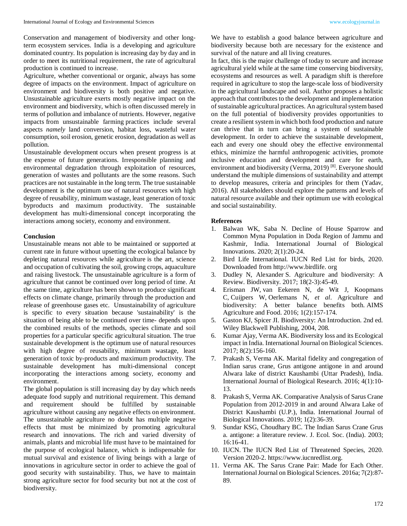Conservation and management of biodiversity and other longterm ecosystem services. India is a developing and agriculture dominated country. Its population is increasing day by day and in order to meet its nutritional requirement, the rate of agricultural production is continued to increase.

Agriculture, whether conventional or organic, always has some degree of impacts on the environment. Impact of agriculture on environment and biodiversity is both positive and negative. Unsustainable agriculture exerts mostly negative impact on the environment and biodiversity, which is often discussed merely in terms of pollution and imbalance of nutrients. However, negative impacts from unsustainable farming practices include several aspects *namely* land conversion, habitat loss, wasteful water consumption, soil erosion, genetic erosion, degradation as well as pollution.

Unsustainable development occurs when present progress is at the expense of future generations. Irresponsible planning and environmental degradation through exploitation of resources, generation of wastes and pollutants are the some reasons. Such practices are not sustainable in the long term. The true sustainable development is the optimum use of natural resources with high degree of reusability, minimum wastage, least generation of toxic byproducts and maximum productivity. The sustainable development has multi-dimensional concept incorporating the interactions among society, economy and environment.

#### **Conclusion**

Unsustainable means not able to be maintained or supported at current rate in future without upsetting the ecological balance by depleting natural resources while agriculture is the art, science and occupation of cultivating the soil, growing crops, aquaculture and raising livestock. The unsustainable agriculture is a form of agriculture that cannot be continued over long period of time. At the same time, agriculture has been shown to produce significant effects on climate change, primarily through the production and release of greenhouse gases etc. Unsustainability of agriculture is specific to every situation because 'sustainability' is the situation of being able to be continued over time- depends upon the combined results of the methods, species climate and soil properties for a particular specific agricultural situation. The true sustainable development is the optimum use of natural resources with high degree of reusability, minimum wastage, least generation of toxic by-products and maximum productivity. The sustainable development has multi-dimensional concept incorporating the interactions among society, economy and environment.

The global population is still increasing day by day which needs adequate food supply and nutritional requirement. This demand and requirement should be fulfilled by sustainable agriculture without causing any negative effects on environment. The unsustainable agriculture no doubt has multiple negative effects that must be minimized by promoting agricultural research and innovations. The rich and varied diversity of animals, plants and microbial life must have to be maintained for the purpose of ecological balance, which is indispensable for mutual survival and existence of living beings with a large of innovations in agriculture sector in order to achieve the goal of good security with sustainability. Thus, we have to maintain strong agriculture sector for food security but not at the cost of biodiversity.

We have to establish a good balance between agriculture and biodiversity because both are necessary for the existence and survival of the nature and all living creatures.

In fact, this is the major challenge of today to secure and increase agricultural yield while at the same time conserving biodiversity, ecosystems and resources as well. A paradigm shift is therefore required in agriculture to stop the large-scale loss of biodiversity in the agricultural landscape and soil. Author proposes a holistic approach that contributes to the development and implementation of sustainable agricultural practices. An agricultural system based on the full potential of biodiversity provides opportunities to create a resilient system in which both food production and nature can thrive that in turn can bring a system of sustainable development. In order to achieve the sustainable development, each and every one should obey the effective environmental ethics, minimize the harmful anthropogenic activities, promote inclusive education and development and care for earth, environment and biodiversity (Verma, 2019)<sup>[8]</sup>. Everyone should understand the multiple dimensions of sustainability and attempt to develop measures, criteria and principles for them (Yadav, 2016). All stakeholders should explore the patterns and levels of natural resource available and their optimum use with ecological and social sustainability.

#### **References**

- 1. Balwan WK, Saba N. Decline of House Sparrow and Common Myna Population in Doda Region of Jammu and Kashmir, India. International Journal of Biological Innovations. 2020; 2(1):20-24.
- 2. Bird Life International. IUCN Red List for birds, 2020. Downloaded from http://www.birdlife. org
- 3. Dudley N, Alexander S. Agriculture and biodiversity: A Review. Biodiversity. 2017; 18(2-3):45-49.
- 4. Erisman JW, van Eekeren N, de Wit J, Koopmans C, Cuijpers W, Oerlemans N, *et al*. Agriculture and biodiversity: A better balance benefits both. AIMS Agriculture and Food. 2016; 1(2):157-174.
- 5. Gaston KJ, Spicer JI. Biodiversity: An Introduction. 2nd ed. Wiley Blackwell Publishing, 2004, 208.
- 6. Kumar Ajay, Verma AK. Biodiversity loss and its Ecological impact in India. International Journal on Biological Sciences. 2017; 8(2):156-160.
- 7. Prakash S, Verma AK. Marital fidelity and congregation of Indian sarus crane, Grus antigone antigone in and around Alwara lake of district Kaushambi (Uttar Pradesh), India. International Journal of Biological Research. 2016; 4(1):10- 13.
- 8. Prakash S, Verma AK. Comparative Analysis of Sarus Crane Population from 2012-2019 in and around Alwara Lake of District Kaushambi (U.P.), India. International Journal of Biological Innovations. 2019; 1(2):36-39.
- 9. Sundar KSG, Choudhary BC. The Indian Sarus Crane Grus a. antigone: a literature review. J. Ecol. Soc. (India). 2003; 16:16-41.
- 10. IUCN. The IUCN Red List of Threatened Species, 2020. Version 2020-2. https://www.iucnredlist.org.
- 11. Verma AK. The Sarus Crane Pair: Made for Each Other. International Journal on Biological Sciences. 2016a; 7(2):87- 89.